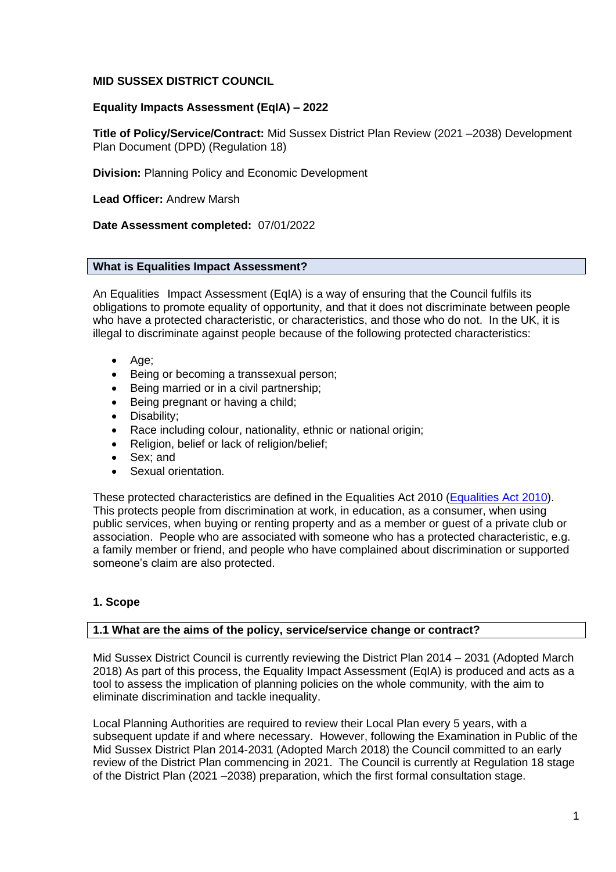## **MID SUSSEX DISTRICT COUNCIL**

# **Equality Impacts Assessment (EqIA) – 2022**

**Title of Policy/Service/Contract:** Mid Sussex District Plan Review (2021 –2038) Development Plan Document (DPD) (Regulation 18)

**Division:** Planning Policy and Economic Development

**Lead Officer:** Andrew Marsh

## **Date Assessment completed:** 07/01/2022

## **What is Equalities Impact Assessment?**

An Equalities Impact Assessment (EqIA) is a way of ensuring that the Council fulfils its obligations to promote equality of opportunity, and that it does not discriminate between people who have a protected characteristic, or characteristics, and those who do not. In the UK, it is illegal to discriminate against people because of the following protected characteristics:

- Age;
- Being or becoming a transsexual person;
- Being married or in a civil partnership;
- Being pregnant or having a child;
- Disability;
- Race including colour, nationality, ethnic or national origin;
- Religion, belief or lack of religion/belief;
- Sex; and
- Sexual orientation.

These protected characteristics are defined in the Equalities Act 2010 [\(Equalities Act 2010\)](https://www.legislation.gov.uk/ukpga/2010/15/contents). This protects people from discrimination at work, in education, as a consumer, when using public services, when buying or renting property and as a member or guest of a private club or association. People who are associated with someone who has a protected characteristic, e.g. a family member or friend, and people who have complained about discrimination or supported someone's claim are also protected.

# **1. Scope**

## **1.1 What are the aims of the policy, service/service change or contract?**

Mid Sussex District Council is currently reviewing the District Plan 2014 – 2031 (Adopted March 2018) As part of this process, the Equality Impact Assessment (EqIA) is produced and acts as a tool to assess the implication of planning policies on the whole community, with the aim to eliminate discrimination and tackle inequality.

Local Planning Authorities are required to review their Local Plan every 5 years, with a subsequent update if and where necessary. However, following the Examination in Public of the Mid Sussex District Plan 2014-2031 (Adopted March 2018) the Council committed to an early review of the District Plan commencing in 2021. The Council is currently at Regulation 18 stage of the District Plan (2021 –2038) preparation, which the first formal consultation stage.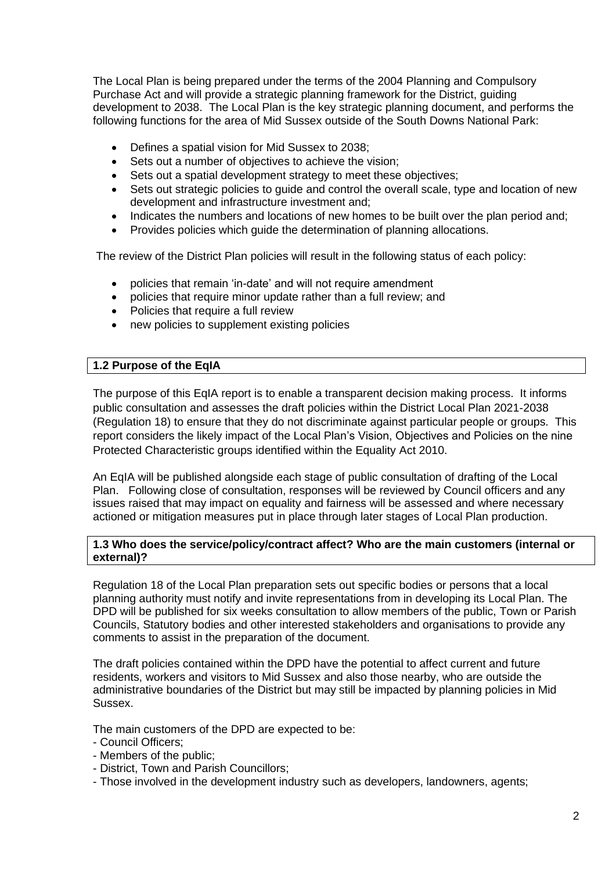The Local Plan is being prepared under the terms of the 2004 Planning and Compulsory Purchase Act and will provide a strategic planning framework for the District, guiding development to 2038. The Local Plan is the key strategic planning document, and performs the following functions for the area of Mid Sussex outside of the South Downs National Park:

- Defines a spatial vision for Mid Sussex to 2038;
- Sets out a number of objectives to achieve the vision;
- Sets out a spatial development strategy to meet these objectives;
- Sets out strategic policies to guide and control the overall scale, type and location of new development and infrastructure investment and;
- Indicates the numbers and locations of new homes to be built over the plan period and;
- Provides policies which guide the determination of planning allocations.

The review of the District Plan policies will result in the following status of each policy:

- policies that remain 'in-date' and will not require amendment
- policies that require minor update rather than a full review; and
- Policies that require a full review
- new policies to supplement existing policies

# **1.2 Purpose of the EqIA**

The purpose of this EqIA report is to enable a transparent decision making process. It informs public consultation and assesses the draft policies within the District Local Plan 2021-2038 (Regulation 18) to ensure that they do not discriminate against particular people or groups. This report considers the likely impact of the Local Plan's Vision, Objectives and Policies on the nine Protected Characteristic groups identified within the Equality Act 2010.

An EqIA will be published alongside each stage of public consultation of drafting of the Local Plan. Following close of consultation, responses will be reviewed by Council officers and any issues raised that may impact on equality and fairness will be assessed and where necessary actioned or mitigation measures put in place through later stages of Local Plan production.

## **1.3 Who does the service/policy/contract affect? Who are the main customers (internal or external)?**

Regulation 18 of the Local Plan preparation sets out specific bodies or persons that a local planning authority must notify and invite representations from in developing its Local Plan. The DPD will be published for six weeks consultation to allow members of the public, Town or Parish Councils, Statutory bodies and other interested stakeholders and organisations to provide any comments to assist in the preparation of the document.

The draft policies contained within the DPD have the potential to affect current and future residents, workers and visitors to Mid Sussex and also those nearby, who are outside the administrative boundaries of the District but may still be impacted by planning policies in Mid Sussex.

The main customers of the DPD are expected to be:

- Council Officers;
- Members of the public;
- District, Town and Parish Councillors;
- Those involved in the development industry such as developers, landowners, agents;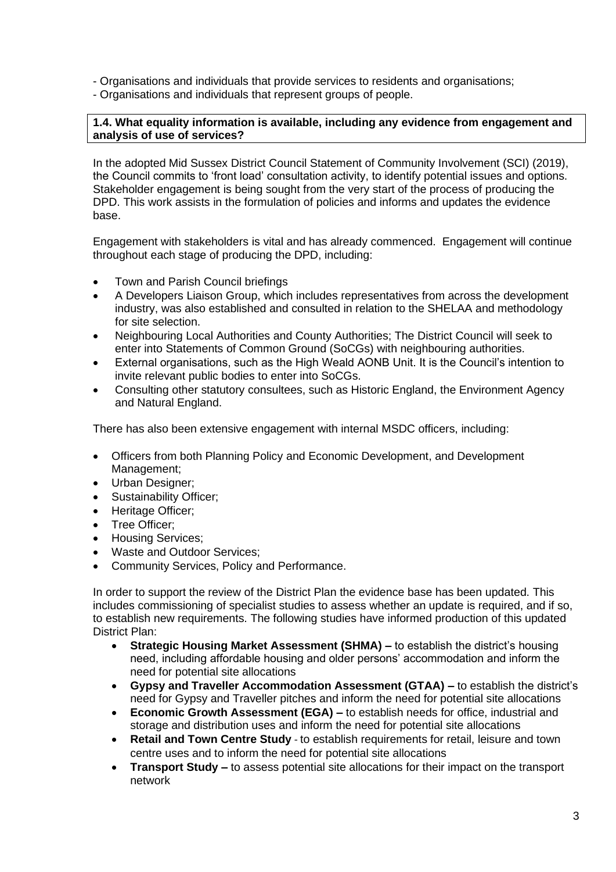- Organisations and individuals that provide services to residents and organisations;
- Organisations and individuals that represent groups of people.

## **1.4. What equality information is available, including any evidence from engagement and analysis of use of services?**

In the adopted Mid Sussex District Council Statement of Community Involvement (SCI) (2019), the Council commits to 'front load' consultation activity, to identify potential issues and options. Stakeholder engagement is being sought from the very start of the process of producing the DPD. This work assists in the formulation of policies and informs and updates the evidence base.

Engagement with stakeholders is vital and has already commenced. Engagement will continue throughout each stage of producing the DPD, including:

- Town and Parish Council briefings
- A Developers Liaison Group, which includes representatives from across the development industry, was also established and consulted in relation to the SHELAA and methodology for site selection.
- Neighbouring Local Authorities and County Authorities; The District Council will seek to enter into Statements of Common Ground (SoCGs) with neighbouring authorities.
- External organisations, such as the High Weald AONB Unit. It is the Council's intention to invite relevant public bodies to enter into SoCGs.
- Consulting other statutory consultees, such as Historic England, the Environment Agency and Natural England.

There has also been extensive engagement with internal MSDC officers, including:

- Officers from both Planning Policy and Economic Development, and Development Management;
- Urban Designer;
- Sustainability Officer;
- Heritage Officer;
- Tree Officer;
- Housing Services;
- Waste and Outdoor Services:
- Community Services, Policy and Performance.

In order to support the review of the District Plan the evidence base has been updated. This includes commissioning of specialist studies to assess whether an update is required, and if so, to establish new requirements. The following studies have informed production of this updated District Plan:

- **Strategic Housing Market Assessment (SHMA) –** to establish the district's housing need, including affordable housing and older persons' accommodation and inform the need for potential site allocations
- **Gypsy and Traveller Accommodation Assessment (GTAA) –** to establish the district's need for Gypsy and Traveller pitches and inform the need for potential site allocations
- **Economic Growth Assessment (EGA) –** to establish needs for office, industrial and storage and distribution uses and inform the need for potential site allocations
- **Retail and Town Centre Study** to establish requirements for retail, leisure and town centre uses and to inform the need for potential site allocations
- **Transport Study –** to assess potential site allocations for their impact on the transport network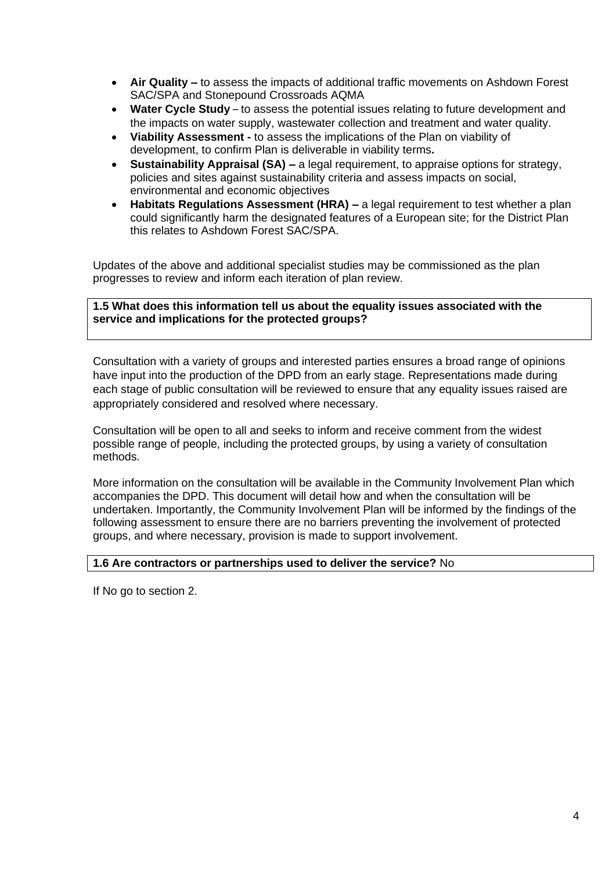- **Air Quality –** to assess the impacts of additional traffic movements on Ashdown Forest SAC/SPA and Stonepound Crossroads AQMA
- **Water Cycle Study** to assess the potential issues relating to future development and the impacts on water supply, wastewater collection and treatment and water quality.
- **Viability Assessment -** to assess the implications of the Plan on viability of development, to confirm Plan is deliverable in viability terms**.**
- **Sustainability Appraisal (SA) –** a legal requirement, to appraise options for strategy, policies and sites against sustainability criteria and assess impacts on social, environmental and economic objectives
- **Habitats Regulations Assessment (HRA) –** a legal requirement to test whether a plan could significantly harm the designated features of a European site; for the District Plan this relates to Ashdown Forest SAC/SPA.

Updates of the above and additional specialist studies may be commissioned as the plan progresses to review and inform each iteration of plan review.

**1.5 What does this information tell us about the equality issues associated with the service and implications for the protected groups?**

Consultation with a variety of groups and interested parties ensures a broad range of opinions have input into the production of the DPD from an early stage. Representations made during each stage of public consultation will be reviewed to ensure that any equality issues raised are appropriately considered and resolved where necessary.

Consultation will be open to all and seeks to inform and receive comment from the widest possible range of people, including the protected groups, by using a variety of consultation methods.

More information on the consultation will be available in the Community Involvement Plan which accompanies the DPD. This document will detail how and when the consultation will be undertaken. Importantly, the Community Involvement Plan will be informed by the findings of the following assessment to ensure there are no barriers preventing the involvement of protected groups, and where necessary, provision is made to support involvement.

## **1.6 Are contractors or partnerships used to deliver the service?** No

If No go to section 2.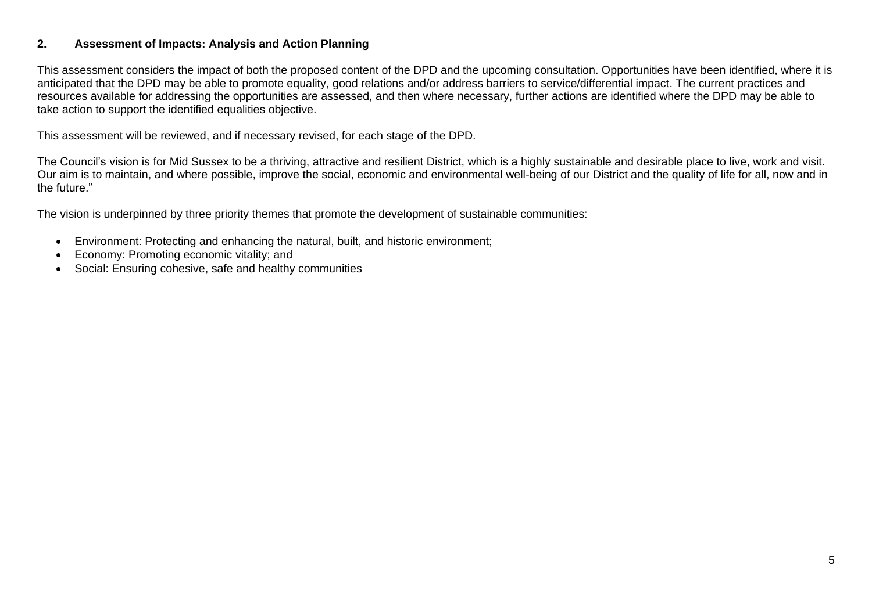## **2. Assessment of Impacts: Analysis and Action Planning**

This assessment considers the impact of both the proposed content of the DPD and the upcoming consultation. Opportunities have been identified, where it is anticipated that the DPD may be able to promote equality, good relations and/or address barriers to service/differential impact. The current practices and resources available for addressing the opportunities are assessed, and then where necessary, further actions are identified where the DPD may be able to take action to support the identified equalities objective.

This assessment will be reviewed, and if necessary revised, for each stage of the DPD.

The Council's vision is for Mid Sussex to be a thriving, attractive and resilient District, which is a highly sustainable and desirable place to live, work and visit. Our aim is to maintain, and where possible, improve the social, economic and environmental well-being of our District and the quality of life for all, now and in the future."

The vision is underpinned by three priority themes that promote the development of sustainable communities:

- Environment: Protecting and enhancing the natural, built, and historic environment;
- Economy: Promoting economic vitality; and
- Social: Ensuring cohesive, safe and healthy communities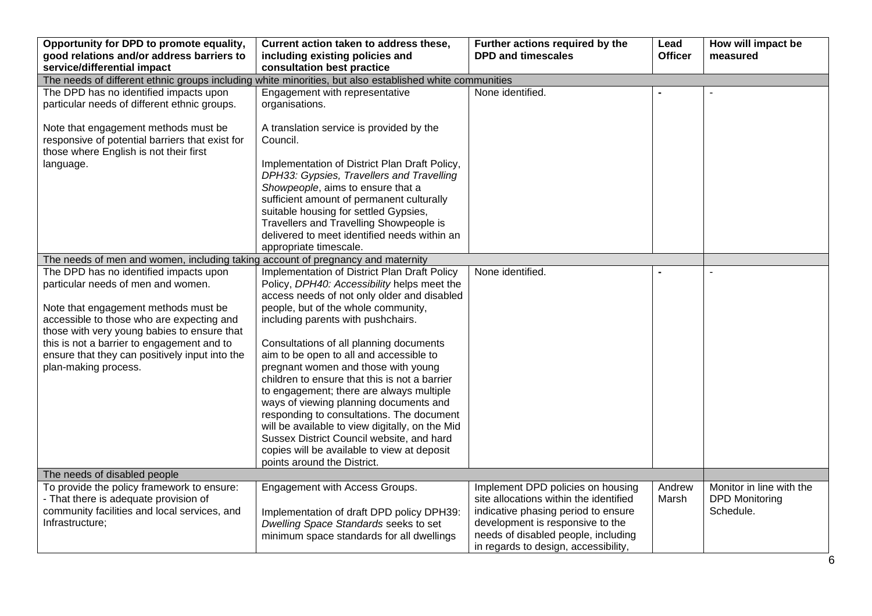| Opportunity for DPD to promote equality,<br>good relations and/or address barriers to                                             | Current action taken to address these,<br>including existing policies and                                                                   | Further actions required by the<br><b>DPD and timescales</b>                                                                                           | Lead<br><b>Officer</b> | How will impact be<br>measured                    |
|-----------------------------------------------------------------------------------------------------------------------------------|---------------------------------------------------------------------------------------------------------------------------------------------|--------------------------------------------------------------------------------------------------------------------------------------------------------|------------------------|---------------------------------------------------|
| service/differential impact                                                                                                       | consultation best practice                                                                                                                  |                                                                                                                                                        |                        |                                                   |
| The needs of different ethnic groups including white minorities, but also established white communities                           |                                                                                                                                             |                                                                                                                                                        |                        |                                                   |
| The DPD has no identified impacts upon<br>particular needs of different ethnic groups.                                            | Engagement with representative<br>organisations.                                                                                            | None identified.                                                                                                                                       |                        |                                                   |
| Note that engagement methods must be<br>responsive of potential barriers that exist for<br>those where English is not their first | A translation service is provided by the<br>Council.                                                                                        |                                                                                                                                                        |                        |                                                   |
| language.                                                                                                                         | Implementation of District Plan Draft Policy,<br>DPH33: Gypsies, Travellers and Travelling<br>Showpeople, aims to ensure that a             |                                                                                                                                                        |                        |                                                   |
|                                                                                                                                   | sufficient amount of permanent culturally<br>suitable housing for settled Gypsies,<br>Travellers and Travelling Showpeople is               |                                                                                                                                                        |                        |                                                   |
|                                                                                                                                   | delivered to meet identified needs within an<br>appropriate timescale.                                                                      |                                                                                                                                                        |                        |                                                   |
| The needs of men and women, including taking account of pregnancy and maternity                                                   |                                                                                                                                             |                                                                                                                                                        |                        |                                                   |
| The DPD has no identified impacts upon<br>particular needs of men and women.                                                      | Implementation of District Plan Draft Policy<br>Policy, DPH40: Accessibility helps meet the<br>access needs of not only older and disabled  | None identified.                                                                                                                                       |                        |                                                   |
| Note that engagement methods must be<br>accessible to those who are expecting and<br>those with very young babies to ensure that  | people, but of the whole community,<br>including parents with pushchairs.                                                                   |                                                                                                                                                        |                        |                                                   |
| this is not a barrier to engagement and to<br>ensure that they can positively input into the                                      | Consultations of all planning documents<br>aim to be open to all and accessible to                                                          |                                                                                                                                                        |                        |                                                   |
| plan-making process.                                                                                                              | pregnant women and those with young<br>children to ensure that this is not a barrier<br>to engagement; there are always multiple            |                                                                                                                                                        |                        |                                                   |
|                                                                                                                                   | ways of viewing planning documents and<br>responding to consultations. The document                                                         |                                                                                                                                                        |                        |                                                   |
|                                                                                                                                   | will be available to view digitally, on the Mid<br>Sussex District Council website, and hard<br>copies will be available to view at deposit |                                                                                                                                                        |                        |                                                   |
|                                                                                                                                   | points around the District.                                                                                                                 |                                                                                                                                                        |                        |                                                   |
| The needs of disabled people                                                                                                      |                                                                                                                                             |                                                                                                                                                        |                        |                                                   |
| To provide the policy framework to ensure:<br>- That there is adequate provision of                                               | Engagement with Access Groups.                                                                                                              | Implement DPD policies on housing<br>site allocations within the identified                                                                            | Andrew<br>Marsh        | Monitor in line with the<br><b>DPD Monitoring</b> |
| community facilities and local services, and<br>Infrastructure;                                                                   | Implementation of draft DPD policy DPH39:<br>Dwelling Space Standards seeks to set<br>minimum space standards for all dwellings             | indicative phasing period to ensure<br>development is responsive to the<br>needs of disabled people, including<br>in regards to design, accessibility, |                        | Schedule.                                         |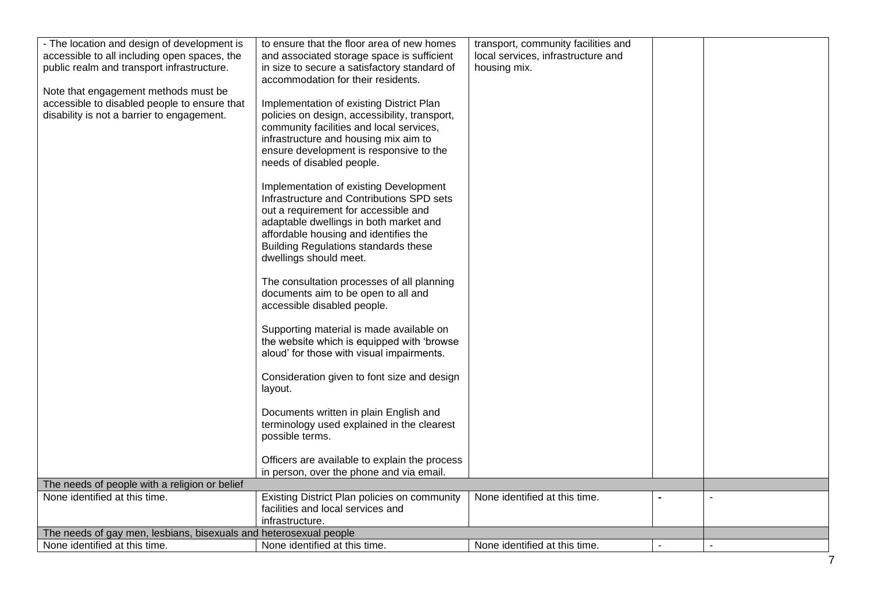| - The location and design of development is                                    | to ensure that the floor area of new homes                                       | transport, community facilities and |                          |
|--------------------------------------------------------------------------------|----------------------------------------------------------------------------------|-------------------------------------|--------------------------|
| accessible to all including open spaces, the                                   | and associated storage space is sufficient                                       | local services, infrastructure and  |                          |
| public realm and transport infrastructure.                                     | in size to secure a satisfactory standard of                                     | housing mix.                        |                          |
|                                                                                | accommodation for their residents.                                               |                                     |                          |
| Note that engagement methods must be                                           |                                                                                  |                                     |                          |
| accessible to disabled people to ensure that                                   | Implementation of existing District Plan                                         |                                     |                          |
| disability is not a barrier to engagement.                                     | policies on design, accessibility, transport,                                    |                                     |                          |
|                                                                                | community facilities and local services,                                         |                                     |                          |
|                                                                                | infrastructure and housing mix aim to<br>ensure development is responsive to the |                                     |                          |
|                                                                                | needs of disabled people.                                                        |                                     |                          |
|                                                                                |                                                                                  |                                     |                          |
|                                                                                | Implementation of existing Development                                           |                                     |                          |
|                                                                                | Infrastructure and Contributions SPD sets                                        |                                     |                          |
|                                                                                | out a requirement for accessible and                                             |                                     |                          |
|                                                                                | adaptable dwellings in both market and                                           |                                     |                          |
|                                                                                | affordable housing and identifies the                                            |                                     |                          |
|                                                                                | <b>Building Regulations standards these</b>                                      |                                     |                          |
|                                                                                | dwellings should meet.                                                           |                                     |                          |
|                                                                                | The consultation processes of all planning                                       |                                     |                          |
|                                                                                | documents aim to be open to all and                                              |                                     |                          |
|                                                                                | accessible disabled people.                                                      |                                     |                          |
|                                                                                |                                                                                  |                                     |                          |
|                                                                                | Supporting material is made available on                                         |                                     |                          |
|                                                                                | the website which is equipped with 'browse                                       |                                     |                          |
|                                                                                | aloud' for those with visual impairments.                                        |                                     |                          |
|                                                                                | Consideration given to font size and design                                      |                                     |                          |
|                                                                                | layout.                                                                          |                                     |                          |
|                                                                                |                                                                                  |                                     |                          |
|                                                                                | Documents written in plain English and                                           |                                     |                          |
|                                                                                | terminology used explained in the clearest                                       |                                     |                          |
|                                                                                | possible terms.                                                                  |                                     |                          |
|                                                                                |                                                                                  |                                     |                          |
|                                                                                | Officers are available to explain the process                                    |                                     |                          |
|                                                                                | in person, over the phone and via email.                                         |                                     |                          |
| The needs of people with a religion or belief<br>None identified at this time. | Existing District Plan policies on community                                     | None identified at this time.       |                          |
|                                                                                | facilities and local services and                                                |                                     |                          |
|                                                                                | infrastructure.                                                                  |                                     |                          |
| The needs of gay men, lesbians, bisexuals and heterosexual people              |                                                                                  |                                     |                          |
| None identified at this time.                                                  | None identified at this time.                                                    | None identified at this time.       | $\overline{\phantom{a}}$ |
|                                                                                |                                                                                  |                                     | 7                        |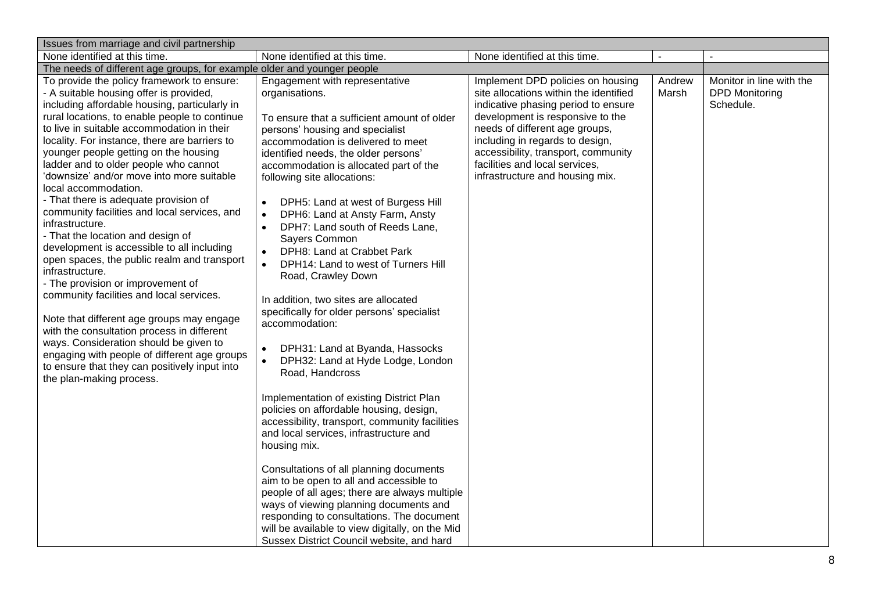| Issues from marriage and civil partnership                                                                                                                                                                                                                                                                                                                                                                                                                                                                                                                                                                                                                                                                                                                                                                                                                                                                                                                                                                                                                        |                                                                                                                                                                                                                                                                                                                                                                                                                                                                                                                                                                                                                                                                                                                                                                                                                                                                                                                                                                                                                                                                                                                                                                                                                                                                                                                        |                                                                                                                                                                                                                                                                                                                                         |                 |                                                                |
|-------------------------------------------------------------------------------------------------------------------------------------------------------------------------------------------------------------------------------------------------------------------------------------------------------------------------------------------------------------------------------------------------------------------------------------------------------------------------------------------------------------------------------------------------------------------------------------------------------------------------------------------------------------------------------------------------------------------------------------------------------------------------------------------------------------------------------------------------------------------------------------------------------------------------------------------------------------------------------------------------------------------------------------------------------------------|------------------------------------------------------------------------------------------------------------------------------------------------------------------------------------------------------------------------------------------------------------------------------------------------------------------------------------------------------------------------------------------------------------------------------------------------------------------------------------------------------------------------------------------------------------------------------------------------------------------------------------------------------------------------------------------------------------------------------------------------------------------------------------------------------------------------------------------------------------------------------------------------------------------------------------------------------------------------------------------------------------------------------------------------------------------------------------------------------------------------------------------------------------------------------------------------------------------------------------------------------------------------------------------------------------------------|-----------------------------------------------------------------------------------------------------------------------------------------------------------------------------------------------------------------------------------------------------------------------------------------------------------------------------------------|-----------------|----------------------------------------------------------------|
| None identified at this time.                                                                                                                                                                                                                                                                                                                                                                                                                                                                                                                                                                                                                                                                                                                                                                                                                                                                                                                                                                                                                                     | None identified at this time.                                                                                                                                                                                                                                                                                                                                                                                                                                                                                                                                                                                                                                                                                                                                                                                                                                                                                                                                                                                                                                                                                                                                                                                                                                                                                          | None identified at this time.                                                                                                                                                                                                                                                                                                           |                 |                                                                |
| The needs of different age groups, for example older and younger people                                                                                                                                                                                                                                                                                                                                                                                                                                                                                                                                                                                                                                                                                                                                                                                                                                                                                                                                                                                           |                                                                                                                                                                                                                                                                                                                                                                                                                                                                                                                                                                                                                                                                                                                                                                                                                                                                                                                                                                                                                                                                                                                                                                                                                                                                                                                        |                                                                                                                                                                                                                                                                                                                                         |                 |                                                                |
| To provide the policy framework to ensure:<br>- A suitable housing offer is provided,<br>including affordable housing, particularly in<br>rural locations, to enable people to continue<br>to live in suitable accommodation in their<br>locality. For instance, there are barriers to<br>younger people getting on the housing<br>ladder and to older people who cannot<br>'downsize' and/or move into more suitable<br>local accommodation.<br>- That there is adequate provision of<br>community facilities and local services, and<br>infrastructure.<br>- That the location and design of<br>development is accessible to all including<br>open spaces, the public realm and transport<br>infrastructure.<br>- The provision or improvement of<br>community facilities and local services.<br>Note that different age groups may engage<br>with the consultation process in different<br>ways. Consideration should be given to<br>engaging with people of different age groups<br>to ensure that they can positively input into<br>the plan-making process. | Engagement with representative<br>organisations.<br>To ensure that a sufficient amount of older<br>persons' housing and specialist<br>accommodation is delivered to meet<br>identified needs, the older persons'<br>accommodation is allocated part of the<br>following site allocations:<br>DPH5: Land at west of Burgess Hill<br>$\bullet$<br>DPH6: Land at Ansty Farm, Ansty<br>$\bullet$<br>DPH7: Land south of Reeds Lane,<br>Sayers Common<br>DPH8: Land at Crabbet Park<br>DPH14: Land to west of Turners Hill<br>$\bullet$<br>Road, Crawley Down<br>In addition, two sites are allocated<br>specifically for older persons' specialist<br>accommodation:<br>DPH31: Land at Byanda, Hassocks<br>$\bullet$<br>DPH32: Land at Hyde Lodge, London<br>$\bullet$<br>Road, Handcross<br>Implementation of existing District Plan<br>policies on affordable housing, design,<br>accessibility, transport, community facilities<br>and local services, infrastructure and<br>housing mix.<br>Consultations of all planning documents<br>aim to be open to all and accessible to<br>people of all ages; there are always multiple<br>ways of viewing planning documents and<br>responding to consultations. The document<br>will be available to view digitally, on the Mid<br>Sussex District Council website, and hard | Implement DPD policies on housing<br>site allocations within the identified<br>indicative phasing period to ensure<br>development is responsive to the<br>needs of different age groups,<br>including in regards to design,<br>accessibility, transport, community<br>facilities and local services,<br>infrastructure and housing mix. | Andrew<br>Marsh | Monitor in line with the<br><b>DPD Monitoring</b><br>Schedule. |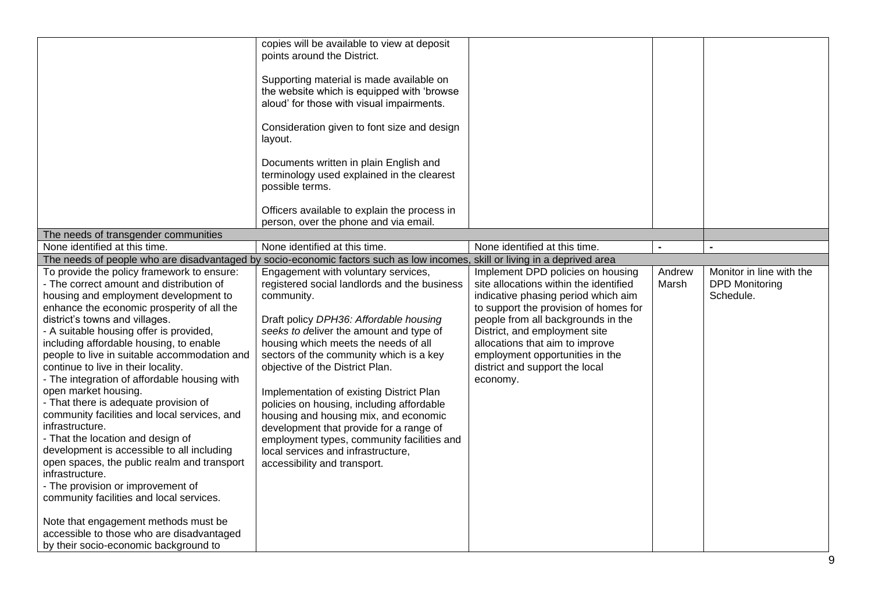|                                                                                                                                                                                                                                                                                                                                                                                                                                                                                                                                                                                                                                                                                                                                                                                                                                                                                                                                                      | copies will be available to view at deposit<br>points around the District.<br>Supporting material is made available on<br>the website which is equipped with 'browse<br>aloud' for those with visual impairments.<br>Consideration given to font size and design<br>layout.<br>Documents written in plain English and<br>terminology used explained in the clearest<br>possible terms.                                                                                                                                                                                                                        |                                                                                                                                                                                                                                                                                                                                                        |                 |                                                                |
|------------------------------------------------------------------------------------------------------------------------------------------------------------------------------------------------------------------------------------------------------------------------------------------------------------------------------------------------------------------------------------------------------------------------------------------------------------------------------------------------------------------------------------------------------------------------------------------------------------------------------------------------------------------------------------------------------------------------------------------------------------------------------------------------------------------------------------------------------------------------------------------------------------------------------------------------------|---------------------------------------------------------------------------------------------------------------------------------------------------------------------------------------------------------------------------------------------------------------------------------------------------------------------------------------------------------------------------------------------------------------------------------------------------------------------------------------------------------------------------------------------------------------------------------------------------------------|--------------------------------------------------------------------------------------------------------------------------------------------------------------------------------------------------------------------------------------------------------------------------------------------------------------------------------------------------------|-----------------|----------------------------------------------------------------|
|                                                                                                                                                                                                                                                                                                                                                                                                                                                                                                                                                                                                                                                                                                                                                                                                                                                                                                                                                      | Officers available to explain the process in<br>person, over the phone and via email.                                                                                                                                                                                                                                                                                                                                                                                                                                                                                                                         |                                                                                                                                                                                                                                                                                                                                                        |                 |                                                                |
| The needs of transgender communities                                                                                                                                                                                                                                                                                                                                                                                                                                                                                                                                                                                                                                                                                                                                                                                                                                                                                                                 |                                                                                                                                                                                                                                                                                                                                                                                                                                                                                                                                                                                                               |                                                                                                                                                                                                                                                                                                                                                        |                 |                                                                |
| None identified at this time.                                                                                                                                                                                                                                                                                                                                                                                                                                                                                                                                                                                                                                                                                                                                                                                                                                                                                                                        | None identified at this time.                                                                                                                                                                                                                                                                                                                                                                                                                                                                                                                                                                                 | None identified at this time.                                                                                                                                                                                                                                                                                                                          |                 |                                                                |
|                                                                                                                                                                                                                                                                                                                                                                                                                                                                                                                                                                                                                                                                                                                                                                                                                                                                                                                                                      | The needs of people who are disadvantaged by socio-economic factors such as low incomes, skill or living in a deprived area                                                                                                                                                                                                                                                                                                                                                                                                                                                                                   |                                                                                                                                                                                                                                                                                                                                                        |                 |                                                                |
| To provide the policy framework to ensure:<br>- The correct amount and distribution of<br>housing and employment development to<br>enhance the economic prosperity of all the<br>district's towns and villages.<br>- A suitable housing offer is provided,<br>including affordable housing, to enable<br>people to live in suitable accommodation and<br>continue to live in their locality.<br>- The integration of affordable housing with<br>open market housing.<br>- That there is adequate provision of<br>community facilities and local services, and<br>infrastructure.<br>- That the location and design of<br>development is accessible to all including<br>open spaces, the public realm and transport<br>infrastructure.<br>- The provision or improvement of<br>community facilities and local services.<br>Note that engagement methods must be<br>accessible to those who are disadvantaged<br>by their socio-economic background to | Engagement with voluntary services,<br>registered social landlords and the business<br>community.<br>Draft policy DPH36: Affordable housing<br>seeks to deliver the amount and type of<br>housing which meets the needs of all<br>sectors of the community which is a key<br>objective of the District Plan.<br>Implementation of existing District Plan<br>policies on housing, including affordable<br>housing and housing mix, and economic<br>development that provide for a range of<br>employment types, community facilities and<br>local services and infrastructure,<br>accessibility and transport. | Implement DPD policies on housing<br>site allocations within the identified<br>indicative phasing period which aim<br>to support the provision of homes for<br>people from all backgrounds in the<br>District, and employment site<br>allocations that aim to improve<br>employment opportunities in the<br>district and support the local<br>economy. | Andrew<br>Marsh | Monitor in line with the<br><b>DPD Monitoring</b><br>Schedule. |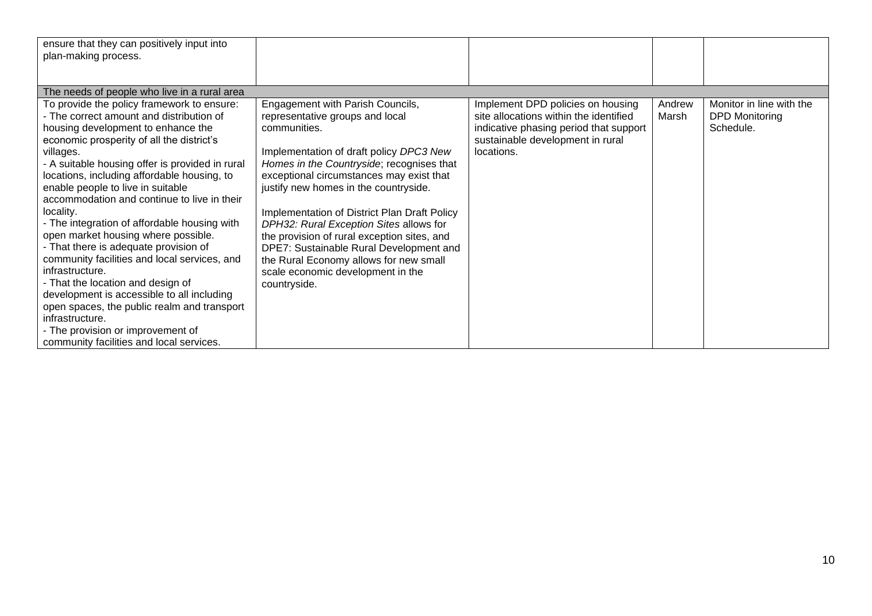| ensure that they can positively input into<br>plan-making process.                                                                                                                                                                                                                                                                                                                                                                                                                                                                                                                                                                                                                                                                                                                                                                 |                                                                                                                                                                                                                                                                                                                                                                                                                                                                                                                                                      |                                                                                                                                                                         |                 |                                                                |
|------------------------------------------------------------------------------------------------------------------------------------------------------------------------------------------------------------------------------------------------------------------------------------------------------------------------------------------------------------------------------------------------------------------------------------------------------------------------------------------------------------------------------------------------------------------------------------------------------------------------------------------------------------------------------------------------------------------------------------------------------------------------------------------------------------------------------------|------------------------------------------------------------------------------------------------------------------------------------------------------------------------------------------------------------------------------------------------------------------------------------------------------------------------------------------------------------------------------------------------------------------------------------------------------------------------------------------------------------------------------------------------------|-------------------------------------------------------------------------------------------------------------------------------------------------------------------------|-----------------|----------------------------------------------------------------|
|                                                                                                                                                                                                                                                                                                                                                                                                                                                                                                                                                                                                                                                                                                                                                                                                                                    |                                                                                                                                                                                                                                                                                                                                                                                                                                                                                                                                                      |                                                                                                                                                                         |                 |                                                                |
| The needs of people who live in a rural area                                                                                                                                                                                                                                                                                                                                                                                                                                                                                                                                                                                                                                                                                                                                                                                       |                                                                                                                                                                                                                                                                                                                                                                                                                                                                                                                                                      |                                                                                                                                                                         |                 |                                                                |
| To provide the policy framework to ensure:<br>- The correct amount and distribution of<br>housing development to enhance the<br>economic prosperity of all the district's<br>villages.<br>- A suitable housing offer is provided in rural<br>locations, including affordable housing, to<br>enable people to live in suitable<br>accommodation and continue to live in their<br>locality.<br>- The integration of affordable housing with<br>open market housing where possible.<br>- That there is adequate provision of<br>community facilities and local services, and<br>infrastructure.<br>- That the location and design of<br>development is accessible to all including<br>open spaces, the public realm and transport<br>infrastructure.<br>- The provision or improvement of<br>community facilities and local services. | Engagement with Parish Councils,<br>representative groups and local<br>communities.<br>Implementation of draft policy DPC3 New<br>Homes in the Countryside; recognises that<br>exceptional circumstances may exist that<br>justify new homes in the countryside.<br>Implementation of District Plan Draft Policy<br>DPH32: Rural Exception Sites allows for<br>the provision of rural exception sites, and<br>DPE7: Sustainable Rural Development and<br>the Rural Economy allows for new small<br>scale economic development in the<br>countryside. | Implement DPD policies on housing<br>site allocations within the identified<br>indicative phasing period that support<br>sustainable development in rural<br>locations. | Andrew<br>Marsh | Monitor in line with the<br><b>DPD Monitoring</b><br>Schedule. |